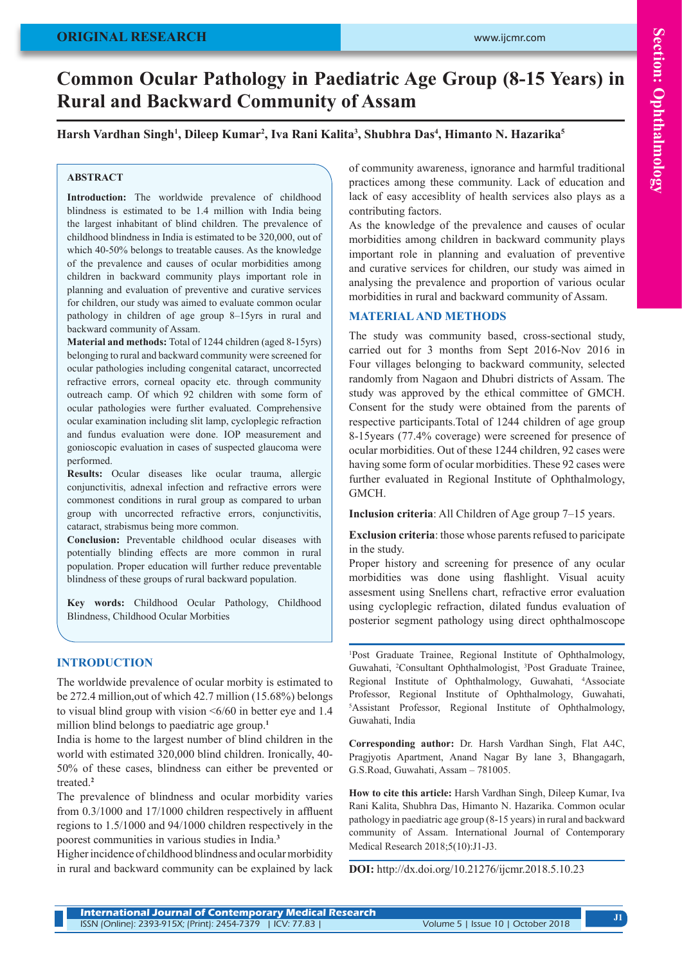# **Common Ocular Pathology in Paediatric Age Group (8-15 Years) in Rural and Backward Community of Assam**

#### **Harsh Vardhan Singh1 , Dileep Kumar2 , Iva Rani Kalita3 , Shubhra Das4 , Himanto N. Hazarika5**

#### **ABSTRACT**

**Introduction:** The worldwide prevalence of childhood blindness is estimated to be 1.4 million with India being the largest inhabitant of blind children. The prevalence of childhood blindness in India is estimated to be 320,000, out of which 40-50% belongs to treatable causes. As the knowledge of the prevalence and causes of ocular morbidities among children in backward community plays important role in planning and evaluation of preventive and curative services for children, our study was aimed to evaluate common ocular pathology in children of age group 8–15yrs in rural and backward community of Assam.

**Material and methods:** Total of 1244 children (aged 8-15yrs) belonging to rural and backward community were screened for ocular pathologies including congenital cataract, uncorrected refractive errors, corneal opacity etc. through community outreach camp. Of which 92 children with some form of ocular pathologies were further evaluated. Comprehensive ocular examination including slit lamp, cycloplegic refraction and fundus evaluation were done. IOP measurement and gonioscopic evaluation in cases of suspected glaucoma were performed.

**Results:** Ocular diseases like ocular trauma, allergic conjunctivitis, adnexal infection and refractive errors were commonest conditions in rural group as compared to urban group with uncorrected refractive errors, conjunctivitis, cataract, strabismus being more common.

**Conclusion:** Preventable childhood ocular diseases with potentially blinding effects are more common in rural population. Proper education will further reduce preventable blindness of these groups of rural backward population.

**Key words:** Childhood Ocular Pathology, Childhood Blindness, Childhood Ocular Morbities

#### **INTRODUCTION**

The worldwide prevalence of ocular morbity is estimated to be 272.4 million,out of which 42.7 million (15.68%) belongs to visual blind group with vision <6/60 in better eye and 1.4 million blind belongs to paediatric age group.**<sup>1</sup>**

India is home to the largest number of blind children in the world with estimated 320,000 blind children. Ironically, 40- 50% of these cases, blindness can either be prevented or treated.**<sup>2</sup>**

The prevalence of blindness and ocular morbidity varies from 0.3/1000 and 17/1000 children respectively in affluent regions to 1.5/1000 and 94/1000 children respectively in the poorest communities in various studies in India.**<sup>3</sup>**

Higher incidence of childhood blindness and ocular morbidity in rural and backward community can be explained by lack of community awareness, ignorance and harmful traditional practices among these community. Lack of education and lack of easy accesiblity of health services also plays as a contributing factors.

As the knowledge of the prevalence and causes of ocular morbidities among children in backward community plays important role in planning and evaluation of preventive and curative services for children, our study was aimed in analysing the prevalence and proportion of various ocular morbidities in rural and backward community of Assam.

#### **MATERIAL AND METHODS**

The study was community based, cross-sectional study, carried out for 3 months from Sept 2016-Nov 2016 in Four villages belonging to backward community, selected randomly from Nagaon and Dhubri districts of Assam. The study was approved by the ethical committee of GMCH. Consent for the study were obtained from the parents of respective participants.Total of 1244 children of age group 8-15years (77.4% coverage) were screened for presence of ocular morbidities. Out of these 1244 children, 92 cases were having some form of ocular morbidities. These 92 cases were further evaluated in Regional Institute of Ophthalmology, GMCH.

**Inclusion criteria**: All Children of Age group 7–15 years.

**Exclusion criteria**: those whose parents refused to paricipate in the study.

Proper history and screening for presence of any ocular morbidities was done using flashlight. Visual acuity assesment using Snellens chart, refractive error evaluation using cycloplegic refraction, dilated fundus evaluation of posterior segment pathology using direct ophthalmoscope

1 Post Graduate Trainee, Regional Institute of Ophthalmology, Guwahati, <sup>2</sup>Consultant Ophthalmologist, <sup>3</sup>Post Graduate Trainee, Regional Institute of Ophthalmology, Guwahati, 4 Associate Professor, Regional Institute of Ophthalmology, Guwahati, 5 Assistant Professor, Regional Institute of Ophthalmology, Guwahati, India

**Corresponding author:** Dr. Harsh Vardhan Singh, Flat A4C, Pragjyotis Apartment, Anand Nagar By lane 3, Bhangagarh, G.S.Road, Guwahati, Assam – 781005.

**How to cite this article:** Harsh Vardhan Singh, Dileep Kumar, Iva Rani Kalita, Shubhra Das, Himanto N. Hazarika. Common ocular pathology in paediatric age group (8-15 years) in rural and backward community of Assam. International Journal of Contemporary Medical Research 2018;5(10):J1-J3.

**DOI:** http://dx.doi.org/10.21276/ijcmr.2018.5.10.23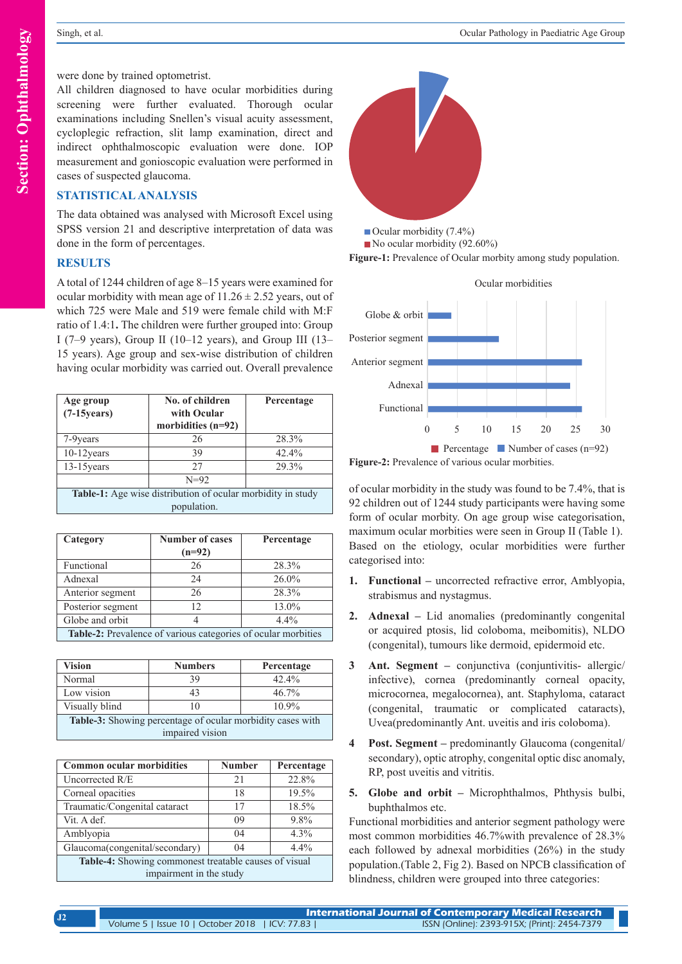were done by trained optometrist.

All children diagnosed to have ocular morbidities during screening were further evaluated. Thorough ocular examinations including Snellen's visual acuity assessment, cycloplegic refraction, slit lamp examination, direct and indirect ophthalmoscopic evaluation were done. IOP measurement and gonioscopic evaluation were performed in cases of suspected glaucoma.

#### **STATISTICAL ANALYSIS**

The data obtained was analysed with Microsoft Excel using SPSS version 21 and descriptive interpretation of data was done in the form of percentages.

#### **RESULTS**

A total of 1244 children of age 8–15 years were examined for ocular morbidity with mean age of  $11.26 \pm 2.52$  years, out of which 725 were Male and 519 were female child with M:F ratio of 1.4:1**.** The children were further grouped into: Group I (7–9 years), Group II (10–12 years), and Group III (13– 15 years). Age group and sex-wise distribution of children having ocular morbidity was carried out. Overall prevalence

| Age group<br>$(7-15)$ years)                                       | No. of children<br>with Ocular<br>morbidities (n=92) | Percentage |  |  |
|--------------------------------------------------------------------|------------------------------------------------------|------------|--|--|
| 7-9 years                                                          | 26                                                   | 28.3%      |  |  |
| $10-12$ years                                                      | 39                                                   | 42.4%      |  |  |
| $13-15$ years                                                      | 27                                                   | 29.3%      |  |  |
|                                                                    | $N=92$                                               |            |  |  |
| <b>Table-1:</b> Age wise distribution of ocular morbidity in study |                                                      |            |  |  |

population.

| Category                                                      | <b>Number of cases</b><br>$(n=92)$ | Percentage |  |  |
|---------------------------------------------------------------|------------------------------------|------------|--|--|
| Functional                                                    | 26                                 | 28.3%      |  |  |
| Adnexal                                                       | 24                                 | $26.0\%$   |  |  |
| Anterior segment                                              | 26                                 | 28.3%      |  |  |
| Posterior segment                                             | 12                                 | 13.0%      |  |  |
| Globe and orbit                                               |                                    | $4.4\%$    |  |  |
| Table-2: Prevalence of various categories of ocular morbities |                                    |            |  |  |

| <b>Vision</b>                                                     | <b>Numbers</b> | Percentage |  |  |
|-------------------------------------------------------------------|----------------|------------|--|--|
| Normal                                                            | 39             | 42.4%      |  |  |
| Low vision                                                        | 43             | $46.7\%$   |  |  |
| Visually blind                                                    | 10             | $10.9\%$   |  |  |
| <b>Table-3:</b> Showing percentage of ocular morbidity cases with |                |            |  |  |
| impaired vision                                                   |                |            |  |  |

| <b>Common ocular morbidities</b>                      | <b>Number</b> | Percentage |  |  |
|-------------------------------------------------------|---------------|------------|--|--|
| Uncorrected R/E                                       | 21            | 22.8%      |  |  |
| Corneal opacities                                     | 18            | 19.5%      |  |  |
| Traumatic/Congenital cataract                         | 17            | 18.5%      |  |  |
| Vit. A def.                                           | 09            | 9.8%       |  |  |
| Amblyopia                                             | $^{04}$       | 4.3%       |  |  |
| Glaucoma(congenital/secondary)                        | 04            | 4.4%       |  |  |
| Table-4: Showing commonest treatable causes of visual |               |            |  |  |
| impairment in the study                               |               |            |  |  |



No ocular morbidity (92.60%)

Figure-1: Prevalence of Ocular morbity among study population.

0 5 10 15 20 25 30 Functional Adnexal Anterior segment Posterior segment Globe & orbit Ocular morbidities Percentage Number of cases  $(n=92)$ 

**Figure-2:** Prevalence of various ocular morbities.

of ocular morbidity in the study was found to be 7.4%, that is 92 children out of 1244 study participants were having some form of ocular morbity. On age group wise categorisation, maximum ocular morbities were seen in Group II (Table 1). Based on the etiology, ocular morbidities were further categorised into:

- **1. Functional –** uncorrected refractive error, Amblyopia, strabismus and nystagmus.
- **2. Adnexal** Lid anomalies (predominantly congenital or acquired ptosis, lid coloboma, meibomitis), NLDO (congenital), tumours like dermoid, epidermoid etc.
- **3 Ant. Segment** conjunctiva (conjuntivitis- allergic/ infective), cornea (predominantly corneal opacity, microcornea, megalocornea), ant. Staphyloma, cataract (congenital, traumatic or complicated cataracts), Uvea(predominantly Ant. uveitis and iris coloboma).
- **4 Post. Segment** predominantly Glaucoma (congenital/ secondary), optic atrophy, congenital optic disc anomaly, RP, post uveitis and vitritis.
- **5. Globe and orbit** Microphthalmos, Phthysis bulbi, buphthalmos etc.

Functional morbidities and anterior segment pathology were most common morbidities 46.7%with prevalence of 28.3% each followed by adnexal morbidities (26%) in the study population.(Table 2, Fig 2). Based on NPCB classification of blindness, children were grouped into three categories: